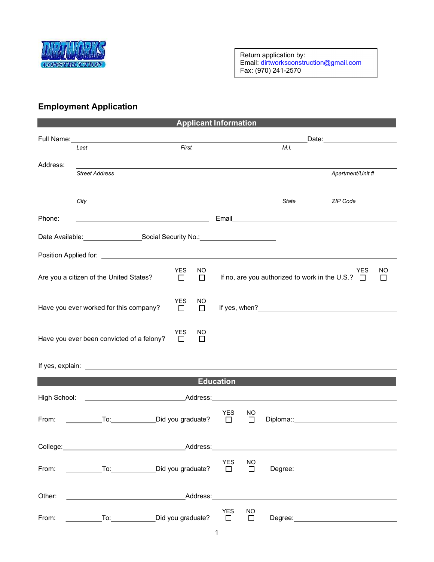

## Employment Application

| <b>Applicant Information</b>                                                                                                                                                                                                         |                                                                                                                                                                                                                                |                      |               |                                |           |       |                                                                     |                |
|--------------------------------------------------------------------------------------------------------------------------------------------------------------------------------------------------------------------------------------|--------------------------------------------------------------------------------------------------------------------------------------------------------------------------------------------------------------------------------|----------------------|---------------|--------------------------------|-----------|-------|---------------------------------------------------------------------|----------------|
|                                                                                                                                                                                                                                      | Full Name: Value of the Contract of the Contract of the Contract of the Contract of the Contract of the Contract of the Contract of the Contract of the Contract of the Contract of the Contract of the Contract of the Contra |                      |               | _Date:________________________ |           |       |                                                                     |                |
|                                                                                                                                                                                                                                      | Last                                                                                                                                                                                                                           | First                |               |                                |           | M.I.  |                                                                     |                |
| Address:                                                                                                                                                                                                                             |                                                                                                                                                                                                                                |                      |               |                                |           |       |                                                                     |                |
|                                                                                                                                                                                                                                      | <b>Street Address</b>                                                                                                                                                                                                          |                      |               |                                |           |       | Apartment/Unit #                                                    |                |
|                                                                                                                                                                                                                                      |                                                                                                                                                                                                                                |                      |               |                                |           |       |                                                                     |                |
|                                                                                                                                                                                                                                      | City                                                                                                                                                                                                                           |                      |               |                                |           | State | ZIP Code                                                            |                |
|                                                                                                                                                                                                                                      |                                                                                                                                                                                                                                |                      |               |                                |           |       |                                                                     |                |
| Phone:                                                                                                                                                                                                                               | <u> 1989 - Johann Barbara, martin amerikan basar dan berasal dalam basar dalam basar dalam basar dalam basar dala</u>                                                                                                          |                      |               |                                |           |       |                                                                     |                |
| Date Available: ________________________Social Security No.: ___________________                                                                                                                                                     |                                                                                                                                                                                                                                |                      |               |                                |           |       |                                                                     |                |
|                                                                                                                                                                                                                                      |                                                                                                                                                                                                                                |                      |               |                                |           |       |                                                                     |                |
|                                                                                                                                                                                                                                      |                                                                                                                                                                                                                                |                      |               |                                |           |       |                                                                     |                |
|                                                                                                                                                                                                                                      | Are you a citizen of the United States?                                                                                                                                                                                        | <b>YES</b><br>$\Box$ | NO.<br>$\Box$ |                                |           |       | <b>YES</b><br>If no, are you authorized to work in the U.S.? $\Box$ | NO.<br>$\perp$ |
|                                                                                                                                                                                                                                      |                                                                                                                                                                                                                                |                      |               |                                |           |       |                                                                     |                |
|                                                                                                                                                                                                                                      |                                                                                                                                                                                                                                | <b>YES</b>           | NO            |                                |           |       |                                                                     |                |
|                                                                                                                                                                                                                                      | Have you ever worked for this company?                                                                                                                                                                                         | $\Box$               | $\Box$        |                                |           |       |                                                                     |                |
|                                                                                                                                                                                                                                      |                                                                                                                                                                                                                                |                      |               |                                |           |       |                                                                     |                |
| <b>YES</b><br>NO.<br>Have you ever been convicted of a felony?<br>$\Box$                                                                                                                                                             |                                                                                                                                                                                                                                |                      |               |                                |           |       |                                                                     |                |
|                                                                                                                                                                                                                                      |                                                                                                                                                                                                                                |                      | $\perp$       |                                |           |       |                                                                     |                |
|                                                                                                                                                                                                                                      |                                                                                                                                                                                                                                |                      |               |                                |           |       |                                                                     |                |
| If yes, explain: <u>example and the set of the set of the set of the set of the set of the set of the set of the set of the set of the set of the set of the set of the set of the set of the set of the set of the set of the s</u> |                                                                                                                                                                                                                                |                      |               |                                |           |       |                                                                     |                |
| <b>Education</b>                                                                                                                                                                                                                     |                                                                                                                                                                                                                                |                      |               |                                |           |       |                                                                     |                |
|                                                                                                                                                                                                                                      |                                                                                                                                                                                                                                |                      |               |                                |           |       |                                                                     |                |
|                                                                                                                                                                                                                                      |                                                                                                                                                                                                                                |                      |               | YES                            | NO.       |       |                                                                     |                |
| From:                                                                                                                                                                                                                                | To: Did you graduate?                                                                                                                                                                                                          |                      |               | $\Box$                         | $\Box$    |       |                                                                     |                |
|                                                                                                                                                                                                                                      |                                                                                                                                                                                                                                |                      |               |                                |           |       |                                                                     |                |
| College: Address: Address: Address: Address: Address: Address: Address: Address: Address: Address: Address: Address: Address: Address: Address: Address: Address: Address: Address: Address: Address: Address: Address: Addres       |                                                                                                                                                                                                                                |                      |               |                                |           |       |                                                                     |                |
| YES<br><b>NO</b>                                                                                                                                                                                                                     |                                                                                                                                                                                                                                |                      |               |                                |           |       |                                                                     |                |
|                                                                                                                                                                                                                                      | From: ______________To: ______________Did you graduate?                                                                                                                                                                        |                      |               | $\overline{\phantom{a}}$       | $\Box$    |       |                                                                     |                |
|                                                                                                                                                                                                                                      |                                                                                                                                                                                                                                |                      |               |                                |           |       |                                                                     |                |
| Other:                                                                                                                                                                                                                               |                                                                                                                                                                                                                                |                      |               |                                |           |       |                                                                     |                |
|                                                                                                                                                                                                                                      |                                                                                                                                                                                                                                |                      |               | YES                            | <b>NO</b> |       |                                                                     |                |
| From:                                                                                                                                                                                                                                | Did you graduate?                                                                                                                                                                                                              |                      |               | $\Box$                         | $\Box$    |       |                                                                     |                |